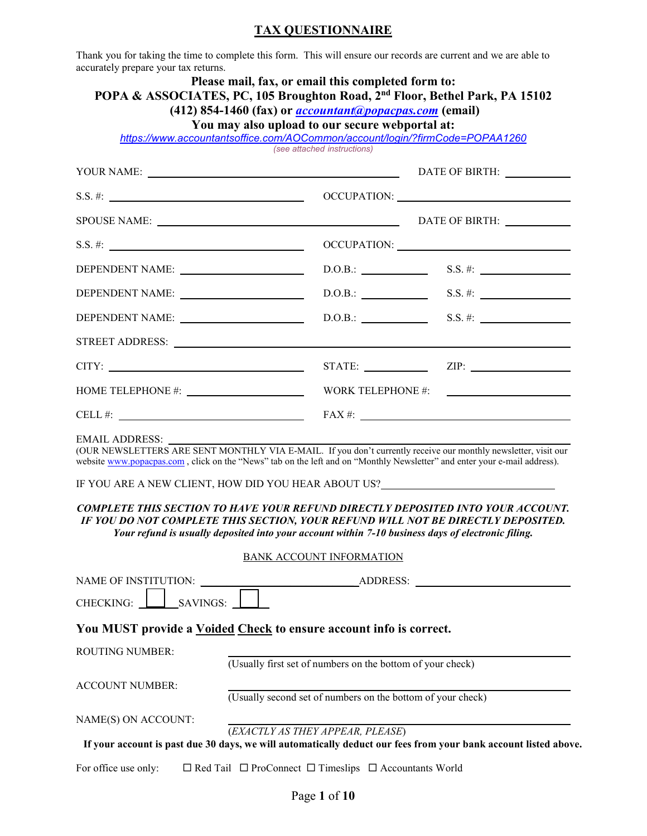### **TAX QUESTIONNAIRE**

Thank you for taking the time to complete this form. This will ensure our records are current and we are able to

|                                                         | You may also upload to our secure webportal at:<br>https://www.accountantsoffice.com/AOCommon/account/login/?firmCode=POPAA1260<br>(see attached instructions)                                                                                                                                                                                                                                                                                                                                                                                                                                               |                                                                                                                                                                                                                                |
|---------------------------------------------------------|--------------------------------------------------------------------------------------------------------------------------------------------------------------------------------------------------------------------------------------------------------------------------------------------------------------------------------------------------------------------------------------------------------------------------------------------------------------------------------------------------------------------------------------------------------------------------------------------------------------|--------------------------------------------------------------------------------------------------------------------------------------------------------------------------------------------------------------------------------|
|                                                         |                                                                                                                                                                                                                                                                                                                                                                                                                                                                                                                                                                                                              | DATE OF BIRTH:                                                                                                                                                                                                                 |
| $S.S. \#:$                                              |                                                                                                                                                                                                                                                                                                                                                                                                                                                                                                                                                                                                              | OCCUPATION: University of the Contract of the Contract of the Contract of the Contract of the Contract of the Contract of the Contract of the Contract of the Contract of the Contract of the Contract of the Contract of the  |
|                                                         |                                                                                                                                                                                                                                                                                                                                                                                                                                                                                                                                                                                                              |                                                                                                                                                                                                                                |
| S.S. #:                                                 |                                                                                                                                                                                                                                                                                                                                                                                                                                                                                                                                                                                                              | OCCUPATION: University of the set of the set of the set of the set of the set of the set of the set of the set of the set of the set of the set of the set of the set of the set of the set of the set of the set of the set o |
| DEPENDENT NAME:                                         |                                                                                                                                                                                                                                                                                                                                                                                                                                                                                                                                                                                                              |                                                                                                                                                                                                                                |
|                                                         | D.O.B.:                                                                                                                                                                                                                                                                                                                                                                                                                                                                                                                                                                                                      |                                                                                                                                                                                                                                |
| DEPENDENT NAME:                                         |                                                                                                                                                                                                                                                                                                                                                                                                                                                                                                                                                                                                              |                                                                                                                                                                                                                                |
|                                                         |                                                                                                                                                                                                                                                                                                                                                                                                                                                                                                                                                                                                              |                                                                                                                                                                                                                                |
| CITY:                                                   | STATE:                                                                                                                                                                                                                                                                                                                                                                                                                                                                                                                                                                                                       | ZIP:                                                                                                                                                                                                                           |
| $HOME TELEPHONE #: __________$                          | <b>WORK TELEPHONE #:</b>                                                                                                                                                                                                                                                                                                                                                                                                                                                                                                                                                                                     | <u> 1989 - Johann Harry Harry Harry Harry Harry Harry Harry Harry Harry Harry Harry Harry Harry Harry Harry Harry</u>                                                                                                          |
|                                                         |                                                                                                                                                                                                                                                                                                                                                                                                                                                                                                                                                                                                              |                                                                                                                                                                                                                                |
| EMAIL ADDRESS:                                          | (OUR NEWSLETTERS ARE SENT MONTHLY VIA E-MAIL. If you don't currently receive our monthly newsletter, visit our<br>website www.popacpas.com, click on the "News" tab on the left and on "Monthly Newsletter" and enter your e-mail address).<br>IF YOU ARE A NEW CLIENT, HOW DID YOU HEAR ABOUT US? ____________________________<br>COMPLETE THIS SECTION TO HAVE YOUR REFUND DIRECTLY DEPOSITED INTO YOUR ACCOUNT.<br>IF YOU DO NOT COMPLETE THIS SECTION, YOUR REFUND WILL NOT BE DIRECTLY DEPOSITED.<br>Your refund is usually deposited into your account within 7-10 business days of electronic filing. |                                                                                                                                                                                                                                |
|                                                         | <b>BANK ACCOUNT INFORMATION</b>                                                                                                                                                                                                                                                                                                                                                                                                                                                                                                                                                                              |                                                                                                                                                                                                                                |
| NAME OF INSTITUTION: _________<br>CHECKING:<br>SAVINGS: |                                                                                                                                                                                                                                                                                                                                                                                                                                                                                                                                                                                                              |                                                                                                                                                                                                                                |
|                                                         | You MUST provide a <b>Voided Check</b> to ensure account info is correct.                                                                                                                                                                                                                                                                                                                                                                                                                                                                                                                                    |                                                                                                                                                                                                                                |
| <b>ROUTING NUMBER:</b>                                  | (Usually first set of numbers on the bottom of your check)                                                                                                                                                                                                                                                                                                                                                                                                                                                                                                                                                   |                                                                                                                                                                                                                                |
| <b>ACCOUNT NUMBER:</b>                                  | (Usually second set of numbers on the bottom of your check)                                                                                                                                                                                                                                                                                                                                                                                                                                                                                                                                                  |                                                                                                                                                                                                                                |
| NAME(S) ON ACCOUNT:                                     | (EXACTLY AS THEY APPEAR, PLEASE)                                                                                                                                                                                                                                                                                                                                                                                                                                                                                                                                                                             |                                                                                                                                                                                                                                |

**If your account is past due 30 days, we will automatically deduct our fees from your bank account listed above.**

For office use only:  $\square$  Red Tail  $\square$  ProConnect  $\square$  Timeslips  $\square$  Accountants World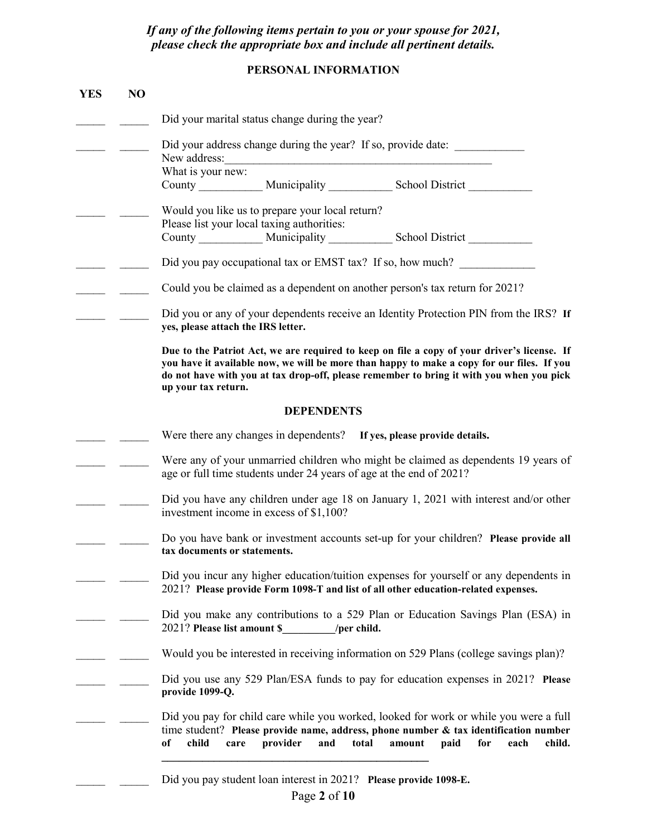### *If any of the following items pertain to you or your spouse for 2021, please check the appropriate box and include all pertinent details.*

## **PERSONAL INFORMATION**

| YES                                                                      | NO                                                                                                                                                                                                                                                                                                           |                                                                                                                                                                                                                                                                                                                                                                                                         |                                                                                               |                                                                                                                                                                                                                             |  |  |  |
|--------------------------------------------------------------------------|--------------------------------------------------------------------------------------------------------------------------------------------------------------------------------------------------------------------------------------------------------------------------------------------------------------|---------------------------------------------------------------------------------------------------------------------------------------------------------------------------------------------------------------------------------------------------------------------------------------------------------------------------------------------------------------------------------------------------------|-----------------------------------------------------------------------------------------------|-----------------------------------------------------------------------------------------------------------------------------------------------------------------------------------------------------------------------------|--|--|--|
|                                                                          |                                                                                                                                                                                                                                                                                                              |                                                                                                                                                                                                                                                                                                                                                                                                         | Did your marital status change during the year?                                               |                                                                                                                                                                                                                             |  |  |  |
|                                                                          |                                                                                                                                                                                                                                                                                                              | Did your address change during the year? If so, provide date:                                                                                                                                                                                                                                                                                                                                           |                                                                                               |                                                                                                                                                                                                                             |  |  |  |
|                                                                          | New address:<br><u> 1989 - Johann Barbara, martxa alemaniar arg</u><br>What is your new:                                                                                                                                                                                                                     |                                                                                                                                                                                                                                                                                                                                                                                                         |                                                                                               |                                                                                                                                                                                                                             |  |  |  |
|                                                                          |                                                                                                                                                                                                                                                                                                              |                                                                                                                                                                                                                                                                                                                                                                                                         |                                                                                               | County ____________ Municipality ____________ School District                                                                                                                                                               |  |  |  |
|                                                                          |                                                                                                                                                                                                                                                                                                              |                                                                                                                                                                                                                                                                                                                                                                                                         | Would you like us to prepare your local return?<br>Please list your local taxing authorities: | County _____________ Municipality _____________ School District ________________                                                                                                                                            |  |  |  |
| Did you pay occupational tax or EMST tax? If so, how much?               |                                                                                                                                                                                                                                                                                                              |                                                                                                                                                                                                                                                                                                                                                                                                         |                                                                                               |                                                                                                                                                                                                                             |  |  |  |
|                                                                          |                                                                                                                                                                                                                                                                                                              | Could you be claimed as a dependent on another person's tax return for 2021?<br>Did you or any of your dependents receive an Identity Protection PIN from the IRS? If<br>yes, please attach the IRS letter.                                                                                                                                                                                             |                                                                                               |                                                                                                                                                                                                                             |  |  |  |
|                                                                          |                                                                                                                                                                                                                                                                                                              |                                                                                                                                                                                                                                                                                                                                                                                                         |                                                                                               |                                                                                                                                                                                                                             |  |  |  |
|                                                                          | Due to the Patriot Act, we are required to keep on file a copy of your driver's license. If<br>you have it available now, we will be more than happy to make a copy for our files. If you<br>do not have with you at tax drop-off, please remember to bring it with you when you pick<br>up your tax return. |                                                                                                                                                                                                                                                                                                                                                                                                         |                                                                                               |                                                                                                                                                                                                                             |  |  |  |
|                                                                          |                                                                                                                                                                                                                                                                                                              |                                                                                                                                                                                                                                                                                                                                                                                                         | <b>DEPENDENTS</b>                                                                             |                                                                                                                                                                                                                             |  |  |  |
| Were there any changes in dependents?<br>If yes, please provide details. |                                                                                                                                                                                                                                                                                                              |                                                                                                                                                                                                                                                                                                                                                                                                         |                                                                                               |                                                                                                                                                                                                                             |  |  |  |
|                                                                          |                                                                                                                                                                                                                                                                                                              | Were any of your unmarried children who might be claimed as dependents 19 years of<br>age or full time students under 24 years of age at the end of 2021?                                                                                                                                                                                                                                               |                                                                                               |                                                                                                                                                                                                                             |  |  |  |
|                                                                          |                                                                                                                                                                                                                                                                                                              | Did you have any children under age 18 on January 1, 2021 with interest and/or other<br>investment income in excess of \$1,100?                                                                                                                                                                                                                                                                         |                                                                                               |                                                                                                                                                                                                                             |  |  |  |
|                                                                          |                                                                                                                                                                                                                                                                                                              | Do you have bank or investment accounts set-up for your children? Please provide all<br>tax documents or statements.                                                                                                                                                                                                                                                                                    |                                                                                               |                                                                                                                                                                                                                             |  |  |  |
|                                                                          |                                                                                                                                                                                                                                                                                                              | Did you incur any higher education/tuition expenses for yourself or any dependents in<br>2021? Please provide Form 1098-T and list of all other education-related expenses.<br>Did you make any contributions to a 529 Plan or Education Savings Plan (ESA) in<br>2021? Please list amount \$<br>$/per$ child.<br>Would you be interested in receiving information on 529 Plans (college savings plan)? |                                                                                               |                                                                                                                                                                                                                             |  |  |  |
|                                                                          |                                                                                                                                                                                                                                                                                                              |                                                                                                                                                                                                                                                                                                                                                                                                         |                                                                                               |                                                                                                                                                                                                                             |  |  |  |
|                                                                          |                                                                                                                                                                                                                                                                                                              |                                                                                                                                                                                                                                                                                                                                                                                                         |                                                                                               |                                                                                                                                                                                                                             |  |  |  |
|                                                                          |                                                                                                                                                                                                                                                                                                              | Did you use any 529 Plan/ESA funds to pay for education expenses in 2021? Please<br>provide 1099-Q.                                                                                                                                                                                                                                                                                                     |                                                                                               |                                                                                                                                                                                                                             |  |  |  |
|                                                                          |                                                                                                                                                                                                                                                                                                              | of<br>child<br>care                                                                                                                                                                                                                                                                                                                                                                                     | provider<br>and<br>total                                                                      | Did you pay for child care while you worked, looked for work or while you were a full<br>time student? Please provide name, address, phone number $\&$ tax identification number<br>paid<br>for<br>each<br>child.<br>amount |  |  |  |
|                                                                          |                                                                                                                                                                                                                                                                                                              |                                                                                                                                                                                                                                                                                                                                                                                                         | Did you pay student loan interest in 2021? Please provide 1098-E.                             |                                                                                                                                                                                                                             |  |  |  |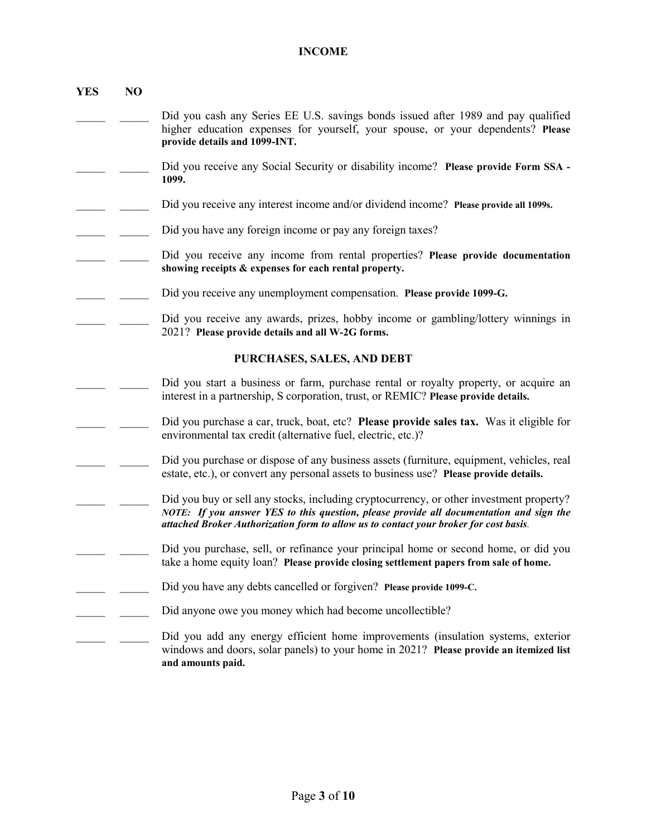#### **INCOME**

# **YES NO** Did you cash any Series EE U.S. savings bonds issued after 1989 and pay qualified higher education expenses for yourself, your spouse, or your dependents? **Please provide details and 1099-INT.**  Did you receive any Social Security or disability income? **Please provide Form SSA -1099.**  Did you receive any interest income and/or dividend income? Please provide all 1099s. Did you have any foreign income or pay any foreign taxes? \_\_\_\_\_ \_\_\_\_\_ Did you receive any income from rental properties? **Please provide documentation showing receipts & expenses for each rental property.**  \_\_\_\_\_ \_\_\_\_\_ Did you receive any unemployment compensation. **Please provide 1099-G.** Did you receive any awards, prizes, hobby income or gambling/lottery winnings in 2021? **Please provide details and all W-2G forms. PURCHASES, SALES, AND DEBT** Did you start a business or farm, purchase rental or royalty property, or acquire an interest in a partnership, S corporation, trust, or REMIC? **Please provide details.** \_\_\_\_\_ \_\_\_\_\_ Did you purchase a car, truck, boat, etc? **Please provide sales tax.** Was it eligible for environmental tax credit (alternative fuel, electric, etc.)? Did you purchase or dispose of any business assets (furniture, equipment, vehicles, real estate, etc.), or convert any personal assets to business use? **Please provide details.** Did you buy or sell any stocks, including cryptocurrency, or other investment property? *NOTE: If you answer YES to this question, please provide all documentation and sign the attached Broker Authorization form to allow us to contact your broker for cost basis.*  Did you purchase, sell, or refinance your principal home or second home, or did you take a home equity loan? **Please provide closing settlement papers from sale of home.** \_\_\_\_\_ \_\_\_\_\_ Did you have any debts cancelled or forgiven? **Please provide 1099-C.** Did anyone owe you money which had become uncollectible? Did you add any energy efficient home improvements (insulation systems, exterior windows and doors, solar panels) to your home in 2021? **Please provide an itemized list and amounts paid.**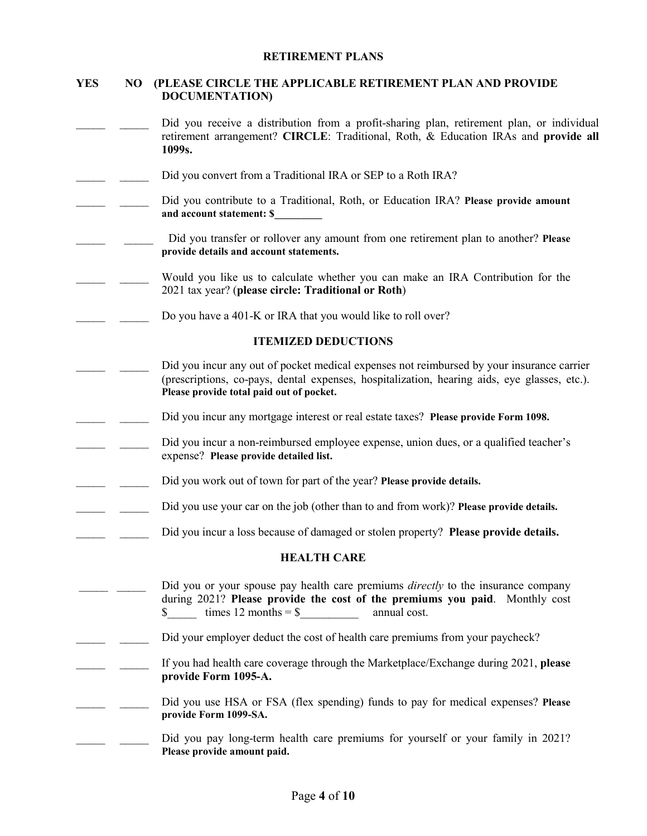#### **RETIREMENT PLANS**

#### **YES NO (PLEASE CIRCLE THE APPLICABLE RETIREMENT PLAN AND PROVIDE DOCUMENTATION)**

- Did you receive a distribution from a profit-sharing plan, retirement plan, or individual retirement arrangement? **CIRCLE**: Traditional, Roth, & Education IRAs and **provide all 1099s.**
- \_\_\_\_\_ \_\_\_\_\_ Did you convert from a Traditional IRA or SEP to a Roth IRA?
- \_\_\_\_\_ \_\_\_\_\_ Did you contribute to a Traditional, Roth, or Education IRA? **Please provide amount and account statement: \$\_\_\_\_\_\_\_\_\_**
	- \_\_\_\_\_ \_\_\_\_\_ Did you transfer or rollover any amount from one retirement plan to another? **Please provide details and account statements.**
- Would you like us to calculate whether you can make an IRA Contribution for the 2021 tax year? (**please circle: Traditional or Roth**)
- Do you have a 401-K or IRA that you would like to roll over?

#### **ITEMIZED DEDUCTIONS**

- Did you incur any out of pocket medical expenses not reimbursed by your insurance carrier (prescriptions, co-pays, dental expenses, hospitalization, hearing aids, eye glasses, etc.). **Please provide total paid out of pocket.**
- \_\_\_\_\_ \_\_\_\_\_ Did you incur any mortgage interest or real estate taxes? **Please provide Form 1098.**
- Did you incur a non-reimbursed employee expense, union dues, or a qualified teacher's expense? **Please provide detailed list.**
- \_\_\_\_\_ \_\_\_\_\_ Did you work out of town for part of the year? **Please provide details.**
- Did you use your car on the job (other than to and from work)? **Please provide details.** 
	- \_\_\_\_\_ \_\_\_\_\_ Did you incur a loss because of damaged or stolen property? **Please provide details.**

#### **HEALTH CARE**

- Did you or your spouse pay health care premiums *directly* to the insurance company during 2021? **Please provide the cost of the premiums you paid**. Monthly cost  $\text{\$} \qquad \text{times } 12 \text{ months} = \text{\$} \qquad \text{annual cost.}$
- Did your employer deduct the cost of health care premiums from your paycheck?
- \_\_\_\_\_ \_\_\_\_\_ If you had health care coverage through the Marketplace/Exchange during 2021, **please provide Form 1095-A.**
- \_\_\_\_\_ \_\_\_\_\_ Did you use HSA or FSA (flex spending) funds to pay for medical expenses? **Please provide Form 1099-SA.** 
	- Did you pay long-term health care premiums for yourself or your family in 2021? **Please provide amount paid.**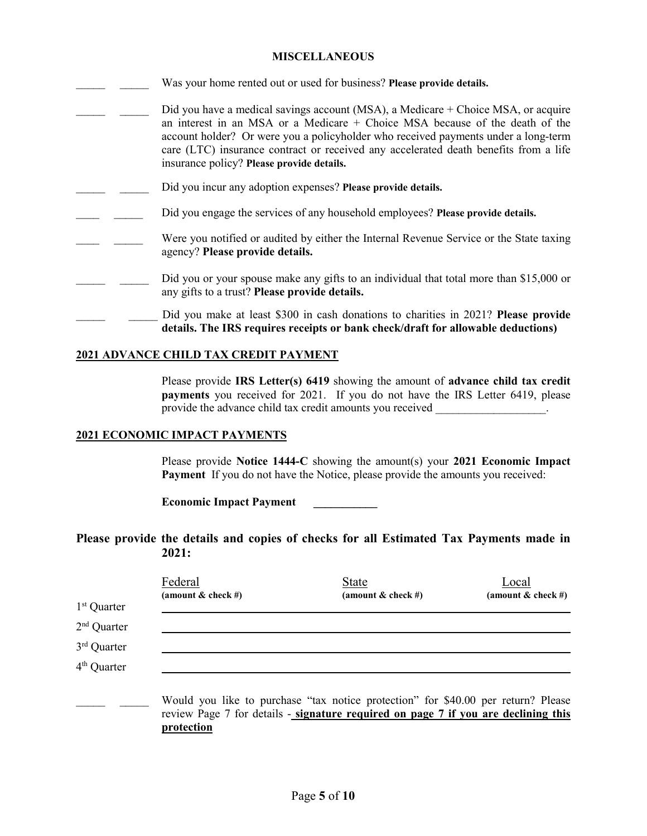#### **MISCELLANEOUS**

- \_\_\_\_\_ \_\_\_\_\_ Was your home rented out or used for business? **Please provide details.** Did you have a medical savings account (MSA), a Medicare + Choice MSA, or acquire an interest in an MSA or a Medicare + Choice MSA because of the death of the account holder? Or were you a policyholder who received payments under a long-term care (LTC) insurance contract or received any accelerated death benefits from a life insurance policy? **Please provide details.** Did you incur any adoption expenses? **Please provide details.** \_\_\_\_ \_\_\_\_\_ Did you engage the services of any household employees? **Please provide details.** Were you notified or audited by either the Internal Revenue Service or the State taxing agency? **Please provide details.**
- Did you or your spouse make any gifts to an individual that total more than \$15,000 or any gifts to a trust? **Please provide details.**
- \_\_\_\_\_ \_\_\_\_\_ Did you make at least \$300 in cash donations to charities in 2021? **Please provide details. The IRS requires receipts or bank check/draft for allowable deductions)**

#### **2021 ADVANCE CHILD TAX CREDIT PAYMENT**

Please provide **IRS Letter(s) 6419** showing the amount of **advance child tax credit payments** you received for 2021. If you do not have the IRS Letter 6419, please provide the advance child tax credit amounts you received

#### **2021 ECONOMIC IMPACT PAYMENTS**

Please provide **Notice 1444-C** showing the amount(s) your **2021 Economic Impact Payment** If you do not have the Notice, please provide the amounts you received:

**Economic Impact Payment \_\_\_\_\_\_\_\_\_\_\_** 

### **Please provide the details and copies of checks for all Estimated Tax Payments made in 2021:**

|                         | Federal<br>(amount $\&$ check #) | <b>State</b><br>(amount $\&$ check #)                                             | Local<br>(amount $\&$ check #) |
|-------------------------|----------------------------------|-----------------------------------------------------------------------------------|--------------------------------|
| $1st$ Quarter           |                                  |                                                                                   |                                |
| $2nd$ Quarter           |                                  |                                                                                   |                                |
| $3rd$ Quarter           |                                  |                                                                                   |                                |
| 4 <sup>th</sup> Quarter |                                  |                                                                                   |                                |
|                         |                                  | Would you like to purchase "tax notice protection" for \$40.00 per return? Please |                                |

Would you like to purchase "tax notice protection" for \$40.00 per return? Please review Page 7 for details - **signature required on page 7 if you are declining this protection**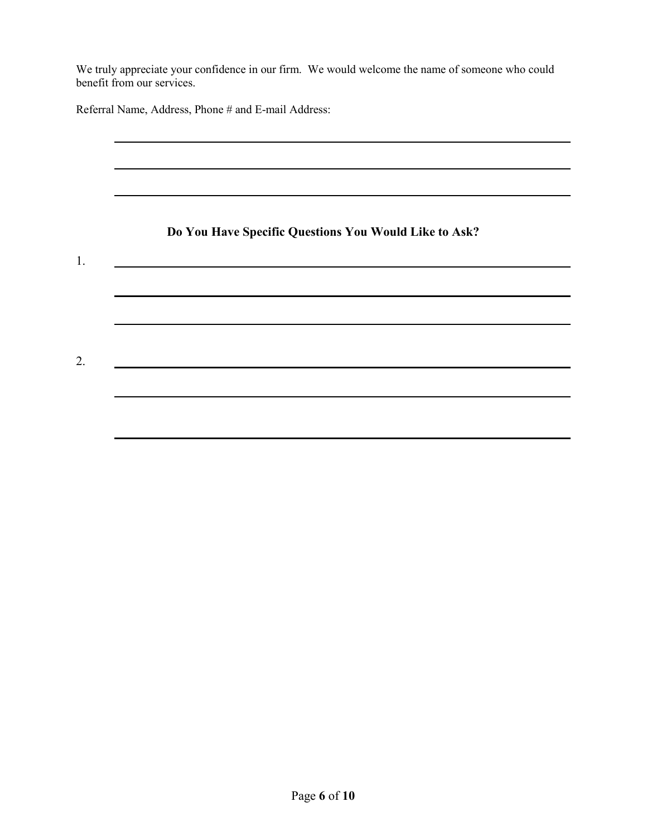We truly appreciate your confidence in our firm. We would welcome the name of someone who could benefit from our services.

Referral Name, Address, Phone # and E-mail Address:

**Do You Have Specific Questions You Would Like to Ask?** 1. 2.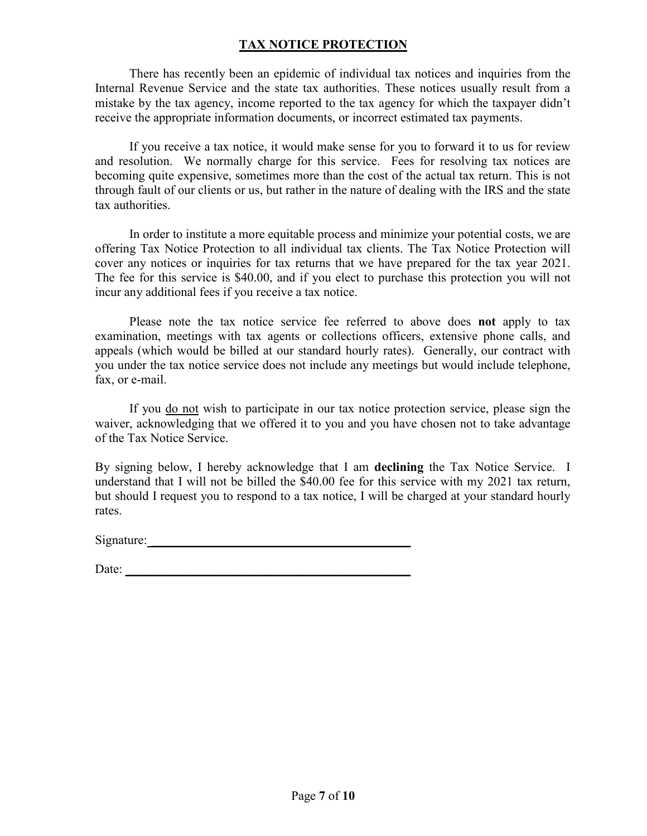### **TAX NOTICE PROTECTION**

There has recently been an epidemic of individual tax notices and inquiries from the Internal Revenue Service and the state tax authorities. These notices usually result from a mistake by the tax agency, income reported to the tax agency for which the taxpayer didn't receive the appropriate information documents, or incorrect estimated tax payments.

If you receive a tax notice, it would make sense for you to forward it to us for review and resolution. We normally charge for this service. Fees for resolving tax notices are becoming quite expensive, sometimes more than the cost of the actual tax return. This is not through fault of our clients or us, but rather in the nature of dealing with the IRS and the state tax authorities.

In order to institute a more equitable process and minimize your potential costs, we are offering Tax Notice Protection to all individual tax clients. The Tax Notice Protection will cover any notices or inquiries for tax returns that we have prepared for the tax year 2021. The fee for this service is \$40.00, and if you elect to purchase this protection you will not incur any additional fees if you receive a tax notice.

Please note the tax notice service fee referred to above does **not** apply to tax examination, meetings with tax agents or collections officers, extensive phone calls, and appeals (which would be billed at our standard hourly rates). Generally, our contract with you under the tax notice service does not include any meetings but would include telephone, fax, or e-mail.

If you do not wish to participate in our tax notice protection service, please sign the waiver, acknowledging that we offered it to you and you have chosen not to take advantage of the Tax Notice Service.

By signing below, I hereby acknowledge that I am **declining** the Tax Notice Service. I understand that I will not be billed the \$40.00 fee for this service with my 2021 tax return, but should I request you to respond to a tax notice, I will be charged at your standard hourly rates.

Signature: **\_\_\_\_\_\_\_\_\_\_\_\_\_\_\_\_\_\_\_\_\_\_\_\_\_\_\_\_\_\_\_\_\_\_\_\_\_\_\_\_\_**

Date: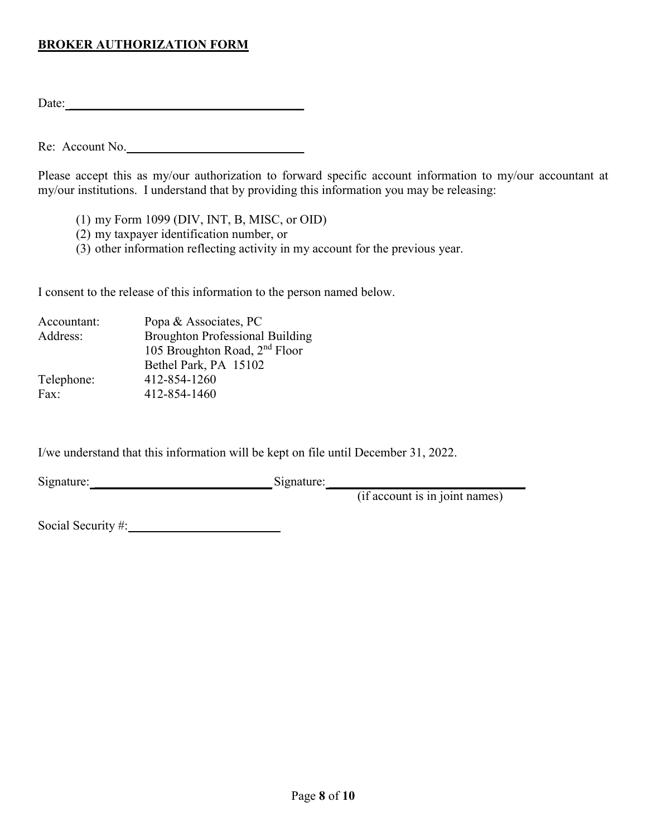### **BROKER AUTHORIZATION FORM**

Date: **\_\_\_\_\_\_\_\_\_\_\_\_\_\_\_\_\_\_\_\_\_\_\_\_\_\_\_\_\_\_\_\_\_\_\_\_\_**

Re: Account No.

Please accept this as my/our authorization to forward specific account information to my/our accountant at my/our institutions. I understand that by providing this information you may be releasing:

- (1) my Form 1099 (DIV, INT, B, MISC, or OID)
- (2) my taxpayer identification number, or
- (3) other information reflecting activity in my account for the previous year.

I consent to the release of this information to the person named below.

| <b>Broughton Professional Building</b> |  |
|----------------------------------------|--|
|                                        |  |
|                                        |  |
|                                        |  |
|                                        |  |
|                                        |  |

I/we understand that this information will be kept on file until December 31, 2022.

Signature: **\_\_\_\_\_\_\_\_\_\_\_\_\_\_\_\_\_\_\_\_\_\_\_\_\_\_\_\_** Signature: **\_\_\_\_\_\_\_\_\_\_\_\_\_\_\_\_\_\_\_\_\_\_\_\_\_\_\_\_\_\_\_**

(if account is in joint names)

Social Security #: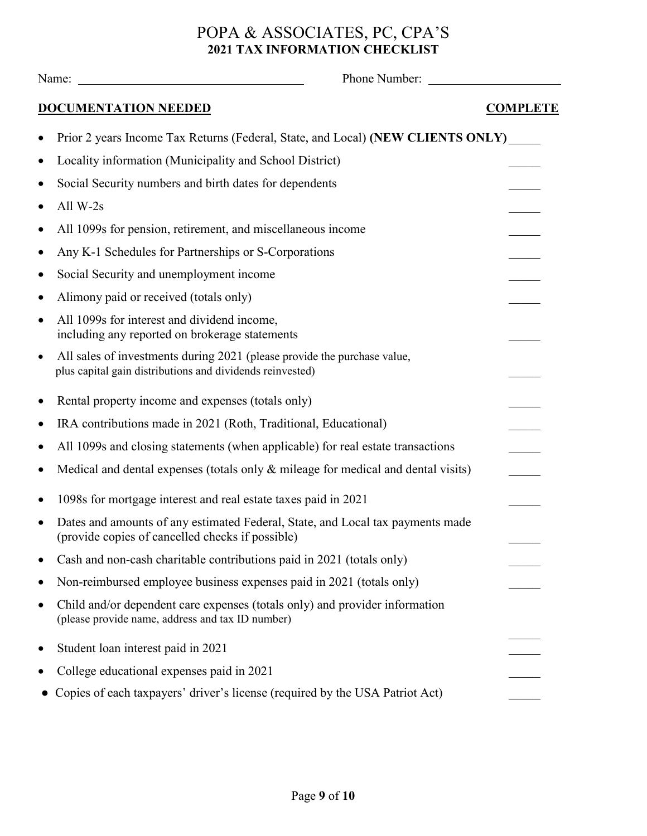# POPA & ASSOCIATES, PC, CPA'S **2021 TAX INFORMATION CHECKLIST**

|           | Phone Number:                                                                                                                         |                 |
|-----------|---------------------------------------------------------------------------------------------------------------------------------------|-----------------|
|           | <b>DOCUMENTATION NEEDED</b>                                                                                                           | <b>COMPLETE</b> |
| ٠         | Prior 2 years Income Tax Returns (Federal, State, and Local) (NEW CLIENTS ONLY)                                                       |                 |
| ٠         | Locality information (Municipality and School District)                                                                               |                 |
| ٠         | Social Security numbers and birth dates for dependents                                                                                |                 |
| $\bullet$ | All $W-2s$                                                                                                                            |                 |
| $\bullet$ | All 1099s for pension, retirement, and miscellaneous income                                                                           |                 |
| $\bullet$ | Any K-1 Schedules for Partnerships or S-Corporations                                                                                  |                 |
| $\bullet$ | Social Security and unemployment income                                                                                               |                 |
| $\bullet$ | Alimony paid or received (totals only)                                                                                                |                 |
| $\bullet$ | All 1099s for interest and dividend income,<br>including any reported on brokerage statements                                         |                 |
| $\bullet$ | All sales of investments during 2021 (please provide the purchase value,<br>plus capital gain distributions and dividends reinvested) |                 |
| $\bullet$ | Rental property income and expenses (totals only)                                                                                     |                 |
|           | IRA contributions made in 2021 (Roth, Traditional, Educational)                                                                       |                 |
| ٠         | All 1099s and closing statements (when applicable) for real estate transactions                                                       |                 |
| $\bullet$ | Medical and dental expenses (totals only & mileage for medical and dental visits)                                                     |                 |
| $\bullet$ | 1098s for mortgage interest and real estate taxes paid in 2021                                                                        |                 |
|           | Dates and amounts of any estimated Federal, State, and Local tax payments made<br>(provide copies of cancelled checks if possible)    |                 |
| $\bullet$ | Cash and non-cash charitable contributions paid in 2021 (totals only)                                                                 |                 |
|           | Non-reimbursed employee business expenses paid in 2021 (totals only)                                                                  |                 |
| $\bullet$ | Child and/or dependent care expenses (totals only) and provider information<br>(please provide name, address and tax ID number)       |                 |
| $\bullet$ | Student loan interest paid in 2021                                                                                                    |                 |
|           | College educational expenses paid in 2021                                                                                             |                 |
|           | Copies of each taxpayers' driver's license (required by the USA Patriot Act)                                                          |                 |